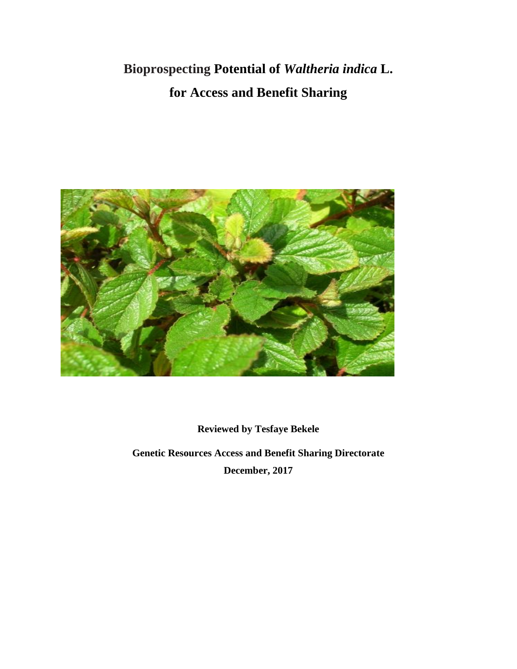# **Bioprospecting Potential of** *Waltheria indica* **L. for Access and Benefit Sharing**



**Reviewed by Tesfaye Bekele**

**Genetic Resources Access and Benefit Sharing Directorate December, 2017**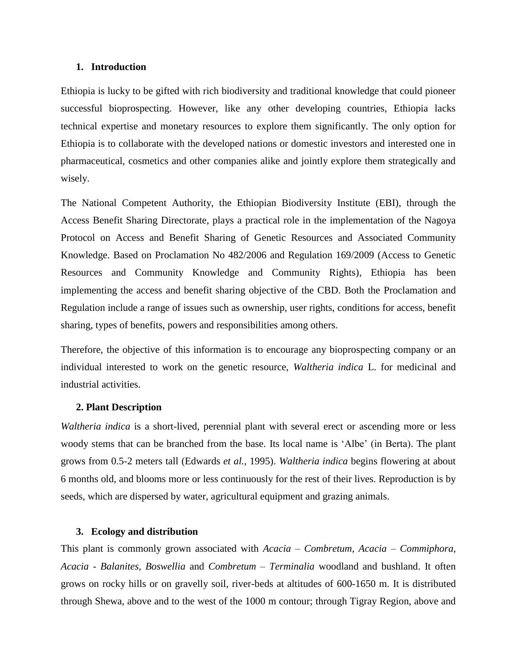# **1. Introduction**

Ethiopia is lucky to be gifted with rich biodiversity and traditional knowledge that could pioneer successful bioprospecting. However, like any other developing countries, Ethiopia lacks technical expertise and monetary resources to explore them significantly. The only option for Ethiopia is to collaborate with the developed nations or domestic investors and interested one in pharmaceutical, cosmetics and other companies alike and jointly explore them strategically and wisely.

The National Competent Authority, the Ethiopian Biodiversity Institute (EBI), through the Access Benefit Sharing Directorate, plays a practical role in the implementation of the Nagoya Protocol on Access and Benefit Sharing of Genetic Resources and Associated Community Knowledge. Based on Proclamation No 482/2006 and Regulation 169/2009 (Access to Genetic Resources and Community Knowledge and Community Rights), Ethiopia has been implementing the access and benefit sharing objective of the CBD. Both the Proclamation and Regulation include a range of issues such as ownership, user rights, conditions for access, benefit sharing, types of benefits, powers and responsibilities among others.

Therefore, the objective of this information is to encourage any bioprospecting company or an individual interested to work on the genetic resource, *Waltheria indica* L. for medicinal and industrial activities.

# **2. Plant Description**

*Waltheria indica* is a short-lived, perennial plant with several erect or ascending more or less woody stems that can be branched from the base. Its local name is 'Albe' (in Berta). The plant grows from 0.5-2 meters tall (Edwards *et al.,* 1995). *Waltheria indica* begins flowering at about 6 months old, and blooms more or less continuously for the rest of their lives. Reproduction is by seeds, which are dispersed by water, agricultural equipment and grazing animals.

# **3. Ecology and distribution**

This plant is commonly grown associated with *Acacia* – *Combretum, Acacia* – *Commiphora, Acacia* - *Balanites, Boswellia* and *Combretum* – *Terminalia* woodland and bushland. It often grows on rocky hills or on gravelly soil, river-beds at altitudes of 600-1650 m. It is distributed through Shewa, above and to the west of the 1000 m contour; through Tigray Region, above and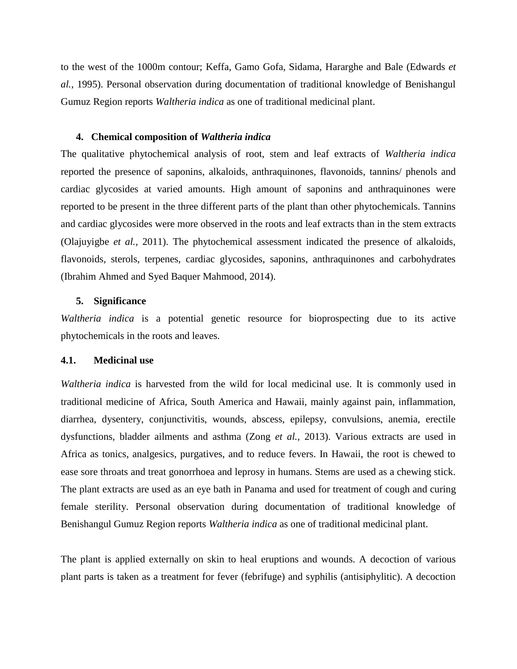to the west of the 1000m contour; Keffa, Gamo Gofa, Sidama, Hararghe and Bale (Edwards *et al.,* 1995). Personal observation during documentation of traditional knowledge of Benishangul Gumuz Region reports *Waltheria indica* as one of traditional medicinal plant.

# **4. Chemical composition of** *Waltheria indica*

The qualitative phytochemical analysis of root, stem and leaf extracts of *Waltheria indica*  reported the presence of saponins, alkaloids, anthraquinones, flavonoids, tannins/ phenols and cardiac glycosides at varied amounts. High amount of saponins and anthraquinones were reported to be present in the three different parts of the plant than other phytochemicals. Tannins and cardiac glycosides were more observed in the roots and leaf extracts than in the stem extracts (Olajuyigbe *et al.,* 2011). The phytochemical assessment indicated the presence of alkaloids, flavonoids, sterols, terpenes, cardiac glycosides, saponins, anthraquinones and carbohydrates (Ibrahim Ahmed and Syed Baquer Mahmood, 2014).

### **5. Significance**

*Waltheria indica* is a potential genetic resource for bioprospecting due to its active phytochemicals in the roots and leaves.

### **4.1. Medicinal use**

*Waltheria indica* is harvested from the wild for local medicinal use. It is commonly used in traditional medicine of Africa, South America and Hawaii, mainly against pain, inflammation, diarrhea, dysentery, conjunctivitis, wounds, abscess, epilepsy, convulsions, anemia, erectile dysfunctions, bladder ailments and asthma (Zong *et al.,* 2013). Various extracts are used in Africa as tonics, analgesics, purgatives, and to reduce fevers. In Hawaii, the root is chewed to ease sore throats and treat gonorrhoea and leprosy in humans. Stems are used as a chewing stick. The plant extracts are used as an eye bath in Panama and used for treatment of cough and curing female sterility. Personal observation during documentation of traditional knowledge of Benishangul Gumuz Region reports *Waltheria indica* as one of traditional medicinal plant.

The plant is applied externally on skin to heal eruptions and wounds. A decoction of various plant parts is taken as a treatment for fever (febrifuge) and syphilis (antisiphylitic). A decoction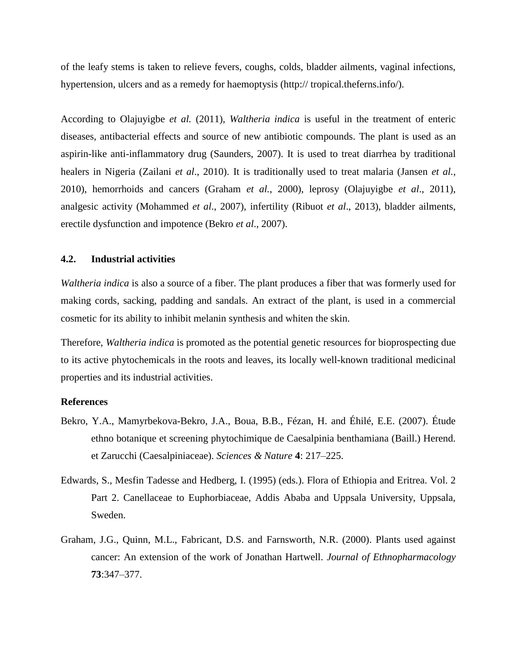of the leafy stems is taken to relieve fevers, coughs, colds, bladder ailments, vaginal infections, hypertension, ulcers and as a remedy for haemoptysis (http:// tropical.theferns.info/).

According to Olajuyigbe *et al.* (2011), *Waltheria indica* is useful in the treatment of enteric diseases, antibacterial effects and source of new antibiotic compounds. The plant is used as an aspirin-like anti-inflammatory drug (Saunders, 2007). It is used to treat diarrhea by traditional healers in Nigeria (Zailani *et al*., 2010). It is traditionally used to treat malaria (Jansen *et al.*, 2010), hemorrhoids and cancers (Graham *et al.*, 2000), leprosy (Olajuyigbe *et al*., 2011), analgesic activity (Mohammed *et al*., 2007), infertility (Ribuot *et al*., 2013), bladder ailments, erectile dysfunction and impotence (Bekro *et al*., 2007).

# **4.2. Industrial activities**

*Waltheria indica* is also a source of a fiber. The plant produces a fiber that was formerly used for making cords, sacking, padding and sandals. An extract of the plant, is used in a commercial cosmetic for its ability to inhibit melanin synthesis and whiten the skin.

Therefore, *Waltheria indica* is promoted as the potential genetic resources for bioprospecting due to its active phytochemicals in the roots and leaves, its locally well-known traditional medicinal properties and its industrial activities.

### **References**

- Bekro, Y.A., Mamyrbekova-Bekro, J.A., Boua, B.B., Fézan, H. and Éhilé, E.E. (2007). Étude ethno botanique et screening phytochimique de Caesalpinia benthamiana (Baill.) Herend. et Zarucchi (Caesalpiniaceae). *Sciences & Nature* **4**: 217–225.
- Edwards, S., Mesfin Tadesse and Hedberg, I. (1995) (eds.). Flora of Ethiopia and Eritrea. Vol. 2 Part 2. Canellaceae to Euphorbiaceae, Addis Ababa and Uppsala University, Uppsala, Sweden.
- Graham, J.G., Quinn, M.L., Fabricant, D.S. and Farnsworth, N.R. (2000). Plants used against cancer: An extension of the work of Jonathan Hartwell. *Journal of Ethnopharmacology*  **73**:347–377.